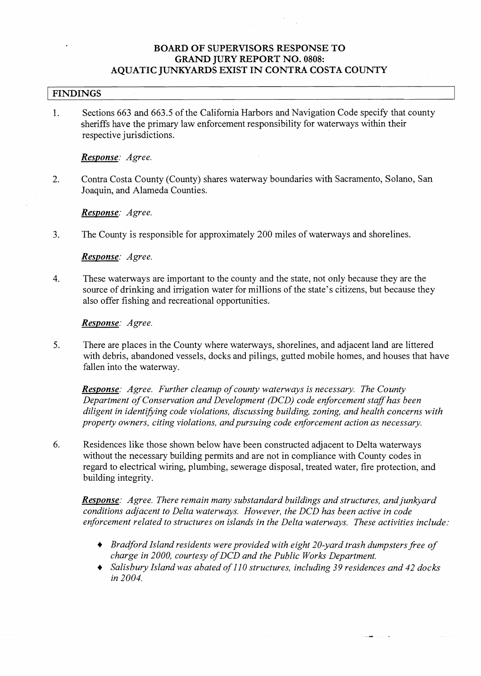#### **BOARD OF SUPERVISORS RESPONSE TO GRAND JURY REPORT NO. 0808: AQUATIC JUNKYARDS EXIST IN CONTRA COSTA COUNTY**

#### <sup>I</sup>**FINDINGS** <sup>I</sup>

1. Sections **663** and **663.5** of the California Harbors and Navigation Code specify that county sheriffs have the primary law enforcement responsibility for waterways within their respective jurisdictions.

#### *Response: Agree.*

2. Contra Costa County (County) shares waterway boundaries with Sacramento, Solano, San Joaquin, and Alameda Counties.

*Response: Agree.* 

3. The County is responsible for approximately 200 miles of waterways and shorelines.

#### *Response: Agree.*

4. These waterways are important to the county and the state, not only because they are the source of drinking and irrigation water for millions of the state's citizens, but because they also offer fishing and recreational opportunities.

#### *Response: Agree.*

**5.** There are places in the County where waterways, shorelines, and adjacent land are littered with debris, abandoned vessels, docks and pilings, gutted mobile homes, and houses that have fallen into the waterway.

*Response: Agree. Further cleanup of county waterways is necessary. The County Department of conservation and Development (DCD) code enforcement staffhas been*  diligent in identifying code violations, discussing building, zoning, and health concerns with *property owners, citing violations, and pursuing code enforcement action as necessary.* 

6. Residences like those shown below have been constructed adjacent to Delta waterways without the necessary building permits and are not in compliance with County codes in regard to electrical wiring, plumbing, sewerage disposal, treated water, fire protection, and building integrity.

*Response: Agree. There remain many substandard buildings and structures, andjunkyard conditions adjacent to Delta waterways. However, the DCD has been active in code enforcement related to structures on islands in the Delta waterways. These activities include:* 

- ◆ *Bradford Island residents were provided with eight 20-yard trash dumpsters free of charge in 2000, courtesy of DCD and the Public Works Department.*
- + *Salisbury Island was abated of* 11 *0 structures, including 39 residences and 42 docks in 2004.*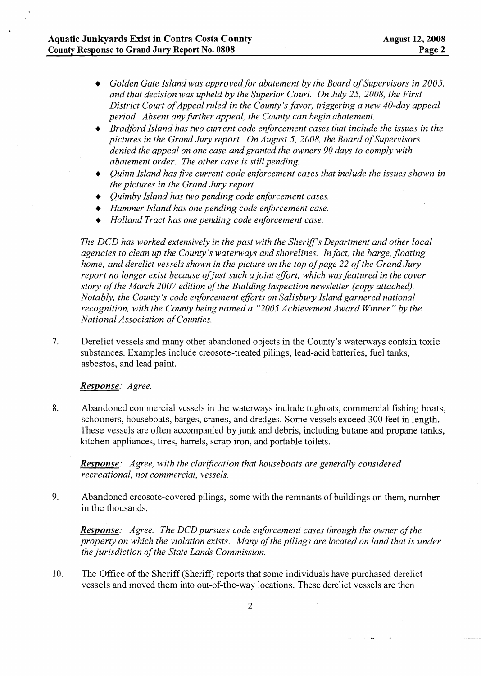- + *Golden Gate Island was approved for abatement by the Board of Supervisors in 2005, and that decision was upheld by the Superior Court. On July 25, 2008, the First District Court of Appeal ruled in the County's favor, triggering a new 40-day appeal period. Absent any further appeal, the County can begin abatement.*
- + *Bradford Island has two current code enforcement cases that include the issues in the pictures in the Grand Jury report. On August 5, 2008, the Board of Supervisors denied the appeal on one case and granted the owners 90 days to comply with abatement order. The other case is still pending.*
- + *Quinn Island has Jive current code enforcement cases that include the issues shown in the pictures in the Grand Jury report.*
- + *Quimby Island has two pending code enforcement cases.*
- + *Hammer Island has one pending code enforcement case.*
- + *Holland Tract has one pending code enforcement case.*

*The DCD has worked extensively in the past with the Sheriff's Department and other local agencies to clean up the County's waterways and shorelines. In fact, the barge, floating home, and derelict vessels shown in the picture on the top of page 22 of the Grand Jury report no longer exist because of just such a joint effort, which was featured in the cover story of the March 2007 edition of the Building Inspection newsletter (copy attached). Notably, the County's code enforcement efforts on Salisbury Island garnered national recognition, with the County being named a "2005 Achievement Award Winner" by the National Association of Counties.* 

7. Derelict vessels and many other abandoned objects in the County's waterways contain toxic substances. Examples include creosote-treated pilings, lead-acid batteries, fuel tanks, asbestos, and lead paint.

#### *Response: Agree.*

8. Abandoned commercial vessels in the waterways include tugboats, commercial fishing boats, schooners, houseboats, barges, cranes, and dredges. Some vessels exceed 300 feet in length. These vessels are often accompanied by junk and debris, including butane and propane tanks, kitchen appliances, tires, barrels, scrap iron, and portable toilets.

*Response:* Agree, with the clarification that houseboats are generally considered *recreational, not commercial, vessels.* 

9. Abandoned creosote-covered pilings, some with the remnants of buildings on them, number in the thousands.

*Response: Agree. The DCD pursues code enforcement cases through the owner of the property on which the violation exists. Many of the pilings are located on land that is under the jurisdiction of the State Lands Commission.* 

10. The Office of the Sheriff (Sheriff) reports that some individuals have purchased derelict vessels and moved them into out-of-the-way locations. These derelict vessels are then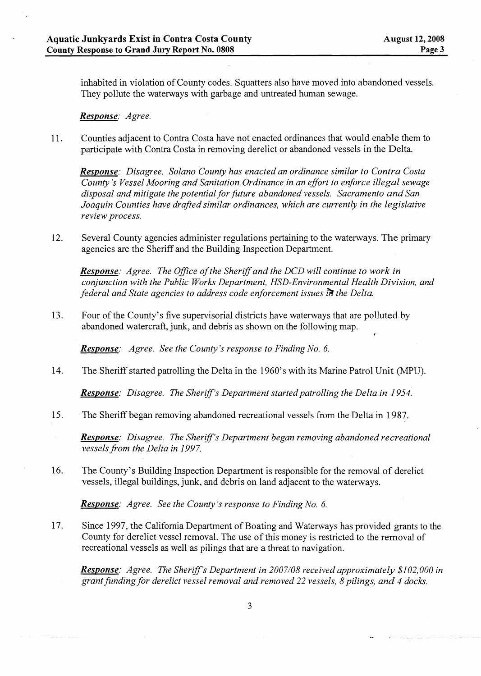**I** 

inhabited in violation of County codes. Squatters also have moved into abandoned vessels. They pollute the waterways with garbage and untreated human sewage.

#### *Response: Agree.*

11. Counties adjacent to Contra Costa have not enacted ordinances that would enable them to participate with Contra Costa in removing derelict or abandoned vessels in the Delta.

*Response: Disagree. Solano County has enacted an ordinance similar to Contra Costa County's Vessel Mooring and Sanitation Ordinance in an effort to enforce illegal sewage disposal and mitigate the potential for future abandoned vessels. Sacramento and Sun Joaquin Counties have drafted similar ordinances, which are currently in the legislative review process.* 

12. Several County agencies administer regulations pertaining to the waterways. The primary agencies are the Sheriff and the Building Inspection Department.

*Response: Agree. The Office of the Sheriffand the DCD will continue to work in conjunction with the Public Works Department, HSD-Environmental Health Division, and federal and State agencies to address code enforcement issues in the Delta.* 

13. Four of the County's five supervisorial districts have waterways that are polluted by abandoned watercraft, junk, and debris as shown on the following map.

*Response: Agree. See the County's response to Finding No. 6.* 

14. The Sheriff started patrolling the Delta in the 1960's with its Marine Patrol Unit (MPU).

*Response: Disagree. The Sheriff's Department started patrolling the Delta in 1954.* 

15. The Sheriff began removing abandoned recreational vessels from the Delta in 1 987.

*Response: Disagree. The Sheriff's Department began removing abandoned recreational vessels from the Delta in 1997.* 

16. The County's Building Inspection Department is responsible for the removal of derelict vessels, illegal buildings, junk, and debris on land adjacent to the waterways.

*Response: Agree. See the County's response to Finding No. 6.* 

17. Since 1997, the California Department of Boating and Waterways has provided grants to the County for derelict vessel removal. The use of this money is restricted to the removal of recreational vessels as well as pilings that are a threat to navigation.

**Response:** Agree. The Sheriff's Department in 2007/08 received approximately \$102,000 in *grant funding for derelict vessel removal and removed 22 vessels, 8 pilings, and 4 docks.*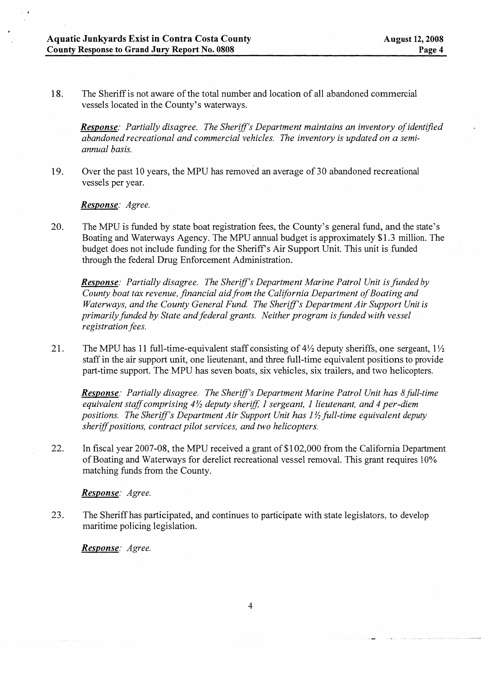18. The Sheriff is not aware of the total number and location of all abandoned commercial vessels located in the County's waterways.

**Response:** Partially disagree. The Sheriff's Department maintains an inventory of identified *abandoned recreational and commercial vehicles. The inventory is updated on a semiannual basis.* 

19. Over the past 10 years, the MPU has removed an average of 30 abandoned recreational vessels per year.

*Response: Agree.* 

20. The MPU is funded by state boat registration fees, the County's general fund, and the state's Boating and Waterways Agency. The MPU annual budget is approximately \$1.3 million. The budget does not include funding for the Sheriff's Air Support Unit. This unit is funded through the federal Drug Enforcement Administration.

**Response**: Partially disagree. The Sheriff's Department Marine Patrol Unit is funded by *County boat tax revenue, financial aidfiom the California Department of Boating and Waterways, and the County General Fund. The Sheriff's Department Air Support Unit is primarily funded by State and federal grants. Neither program is funded with vessel registration fees.* 

21. The MPU has 11 full-time-equivalent staff consisting of  $4\frac{1}{2}$  deputy sheriffs, one sergeant,  $1\frac{1}{2}$ staff in the air support unit, one lieutenant, and three full-time equivalent positions to provide part-time support. The MPU has seven boats, six vehicles, six trailers, and two helicopters.

**Response**: Partially disagree. The Sheriff's Department Marine Patrol Unit has 8 full-time *equivalent staff comprising 41/<sub>2</sub> deputy sheriff, 1 sergeant, 1 lieutenant, and 4 per-diem positions. The Sheriff's Department Air Support Unit has 11/<sub>2</sub> full-time equivalent deputy sheriffpositions, contract pilot services, and two helicopters.* 

22. In fiscal year 2007-08, the MPU received a grant of \$1 02,000 from the California Department of Boating and Waterways for derelict recreational vessel removal. This grant requires 10% matching funds from the County.

#### *Response: Agree.*

23. The Sheriff has participated, and continues to participate with state legislators, to develop maritime policing legislation.

*Response: Agree.* 

4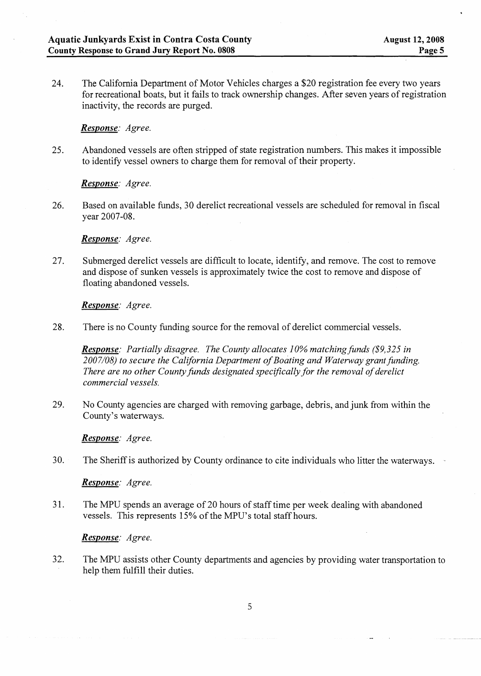24. The California Department of Motor Vehicles charges a \$20 registration fee every two years for recreational boats, but it fails to track ownership changes. After seven years of registration inactivity, the records are purged.

#### *Response: Agree.*

25. Abandoned vessels are often stripped of state registration numbers. This makes it impossible to identify vessel owners to charge them for removal of their property.

*Response: Agree.* 

26. Based on available hnds, 30 derelict recreational vessels are scheduled for removal in fiscal year 2007-08.

*Response: Agree.* 

27. Submerged derelict vessels are difficult to locate, identify, and remove. The cost to remove and dispose of sunken vessels is approximately twice the cost to remove and dispose of floating abandoned vessels.

*Response: Agree.* 

28. There is no County funding source for the removal of derelict commercial vessels.

*Response: Partially disagree. The County allocates 10% matching funds (\$9,325 in 2007/08) to secure the California Department of Boating and Waterway grant funding.*  There are no other County funds designated specifically for the removal of derelict *commercial vessels.* 

29. No County agencies are charged with removing garbage, debris, and junk from within the County's waterways.

*Response: Agree.* 

30. The Sheriff is authorized by County ordinance to cite individuals who litter the waterways.

*Response: Agree.* 

3 1. The MPU spends an average of 20 hours of staff time per week dealing with abandoned vessels. This represents 15% of the MPU's total staff hours.

*Response: Agree.* 

32. The MPU assists other County departments and agencies by providing water transportation to help them fulfill their duties.

5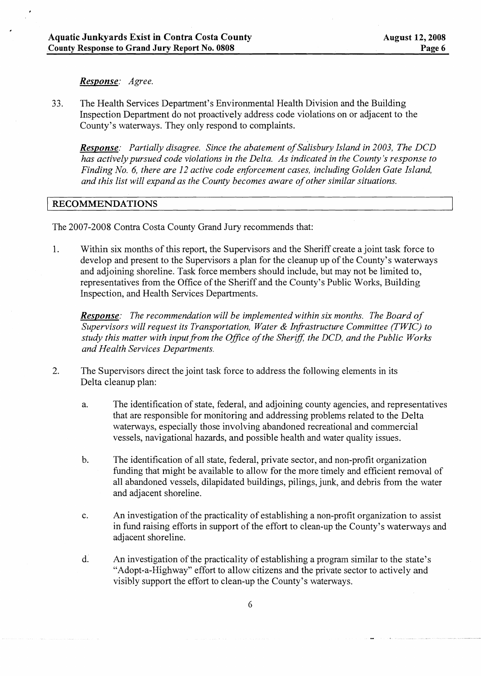#### *Response: Agree.*

33. The Health Services Department's Environmental Health Division and the Building Inspection Department do not proactively address code violations on or adjacent to the County's waterways. They only respond to complaints.

*Response: Partially disagree. Since the abatement of Salisbury Island in 2003, The DCD has actively pursued code violations in the Delta. As indicated in the County's response to Finding No. 6, there are 12 active code enforcement cases, including Golden Gate Island, and this list will expand as the County becomes aware of other similar situations.* 

#### **RECOMMENDATIONS**

The 2007-2008 Contra Costa County Grand Jury recommends that:

1. Within six months of this report, the Supervisors and the Sheriff create a joint task force to develop and present to the Supervisors a plan for the cleanup up of the County's waterways and adjoining shoreline. Task force members should include, but may not be limited to, representatives from the Office of the Sheriff and the County's Public Works, Building Inspection, and Health Services Departments.

*Response: The recommendation will be implemented within six months. The Board of Supervisors will request its Transportation, Water & Infrastructure Committee (TWIC) to* study this matter with input from the Office of the Sheriff, the DCD, and the Public Works *and Health Services Departments.* 

- 2. The Supervisors direct the joint task force to address the following elements in its Delta cleanup plan:
	- a. The identification of state, federal, and adjoining county agencies, and representatives that are responsible for monitoring and addressing problems related to the Delta waterways, especially those involving abandoned recreational and commercial vessels, navigational hazards, and possible health and water quality issues.
	- b. The identification of all state, federal, private sector, and non-profit organization funding that might be available to allow for the more timely and efficient removal of all abandoned vessels, dilapidated buildings, pilings, junk, and debris from the water and adjacent shoreline.
	- c. An investigation of the practicality of establishing a non-profit organization to assist in fund raising efforts in support of the effort to clean-up the County's waterways and adjacent shoreline.
	- d. An investigation of the practicality of establishing a program similar to the state's "Adopt-a-Highway" effort to allow citizens and the private sector to actively and visibly support the effort to clean-up the County's waterways.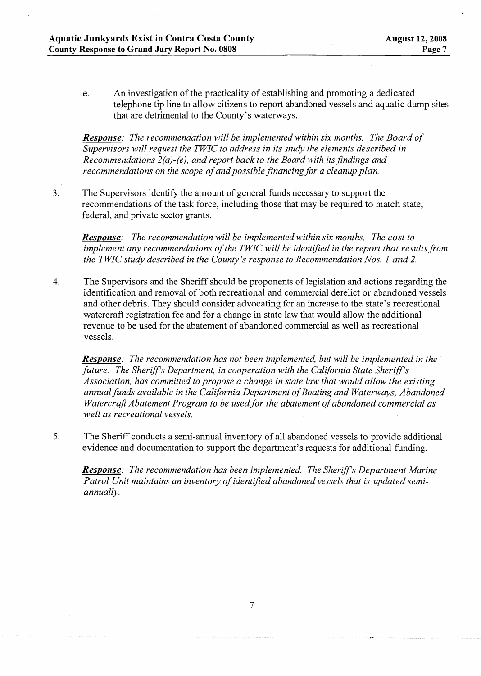e. An investigation of the practicality of establishing and promoting a dedicated telephone tip line to allow citizens to report abandoned vessels and aquatic dump sites that are detrimental to the County's waterways.

*Response: The recommendation will be implemented within six months. The Board of Supervisors will request the TWIC to address in its study the elements described in Recommendations 2(a)-(e), and report back to the Board with its findings and recommendations on the scope of and possible financing for a cleanup plan.* 

**3.** The Supervisors identify the amount of general funds necessary to support the recommendations of the task force, including those that may be required to match state, federal, and private sector grants.

*Response: The recommendation will be implemented within six months. The cost to implement any recommendations of the TWIC will be identified in the report that results from the TWIC study described in the County's response to Recommendation Nos. 1 and 2.* 

4. The Supervisors and the Sheriff should be proponents of legislation and actions regarding the identification and removal of both recreational and commercial derelict or abandoned vessels and other debris. They should consider advocating for an increase to the state's recreational watercraft registration fee and for a change in state law that would allow the additional revenue to be used for the abatement of abandoned commercial as well as recreational vessels.

*Response: The recommendation has not been implemented, but will be implemented in the*  future. The Sheriff's Department, in cooperation with the California State Sheriff's *Association, has committed to propose a change in state law that would allow the existing annual funds available in the California Department of Boating and Waterways, Abandoned Watercraft Abatement Program to be used for the abatement of abandoned commercial as well as recreational vessels.* 

*5.* The Sheriff conducts a semi-annual inventory of all abandoned vessels to provide additional evidence and documentation to support the department's requests for additional funding.

*Response: The recommendation has been implemented. The Sheriff's Department Marine Patrol Unit maintains an inventory of identijed abandoned vessels that is updated semiannually.* 

 $\overline{7}$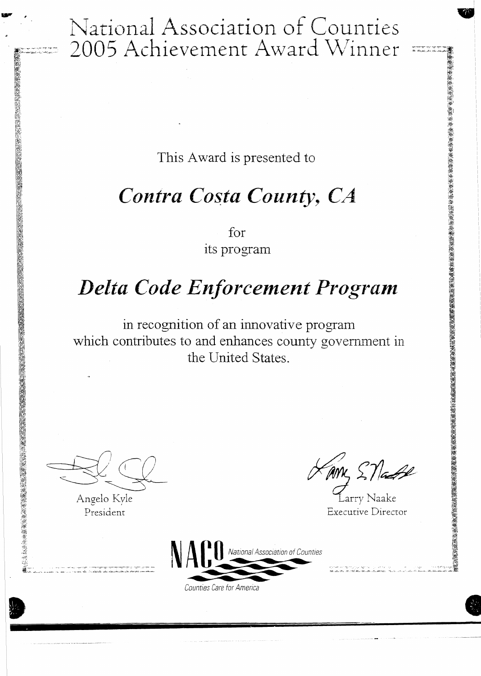### National Association of Counties 2005 Achievement Award Winner

This Award is presented to

## *Contra Costa County, CA*

for its program

# *Delta* **Code** *Enforcement Program*

in recognition of an innovative program which contributes to and enhances county government in the United States. N AGO MATING ASSOCIATION OF COUNTIES CAVE ON A AND COUNTIES CAVE ON A MAGNARY COUNTIES CAVE FOR A MAGNARY COUNTIES CAVE FOR A MAGNARY COUNTIES CAVE FOR A MAGNARY COUNTIES CAVE FOR A MAGNARY COUNTIES CAVE FOR A MAGNARY COUN

**腕物構成的機能が活動的ながら、おように、この場所をはいいか、この場所が、その場所が、その場所が、その場所が、その場所が、その場所が、その場所が、その場所が、その場所が、その場所が、その場所が、その場所が、その場所が、その場所が、その場所が、その場所が、その場所が、その場所が、その場所が、その場所が、その場所が、その場所が、その場所が、その場所が、その場所が、その場所が、その場所が、その場所が、その場所が、その場所が、その場所が、その場所** 

Angelo Kyle President

<sub>**非常不能,但我们的地方的,你不能会在我们在我们的医院的,我们的医院的,我们也不会在这么多,我们的医院,我们的医院的,我们的医院的,我们也会不会不会不会不会不会不会不会不会不会不会。""我们的,我们的,我们的爱情的感觉,我不会不会不会</sub>** 

Counties Care for America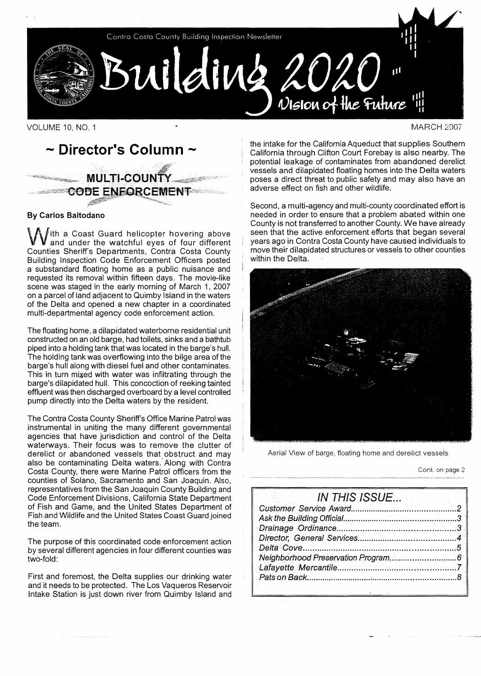

VOLUME 10, NO. 1



#### **By** Carlos Baltodano

 $\int$ ith a Coast Guard helicopter hovering above and under the watchful eyes of four different Counties Sheriff's Departments, Contra Costa County Buildinq Inspection Code Enforcement Officers posted a substandard floating home as a public nuisance and requested its removal within fifteen days. The movie-like scene was staged in the early morning of March 1, 2007 on a parcel of land adjacent to Quimby Island in the waters of the Delta and opened a new chapter in a coordinated multi-departmental agency code enforcement action.

The floating home, a dilapidated waterborne residential unit constructed on an old barge, had toilets, sinks and a bathtub piped into a holding tank that was located in the barge's hull. The holding tank was overflowing into the bilge area of the barge's hull along with diesel fuel and other contaminates. This in turn mized with water was infiltrating through the barge's dilapidated hull. This concoction of reeking tainted effluent was then discharged overboard by a level controlled pump directly into the Delta waters by the resident.

The Contra Costa County Sheriff's Office Marine Patrol was instrumental in uniting the many different governmental agencies that have jurisdiction and control of the Delta waterways. Their focus was to remove the clutter of derelict or abandoned vessels that obstruct and may Aerial View of barge, floating home and derelict vessels also be contaminating Delta waters. Along with Contra Costa County, there were Marine Patrol officers from the Cont. on page 2 counties of Solano, Sacramento and San Joaquin. Also, representatives from the San Joaquin County Building and Code Enforcement Divisions, California State Department of Fish and Game, and the United States Department of Fish and Wildlife and the United States Coast Guard joined the team.

The purpose of this coordinated code enforcement action by several different agencies in four different counties was two-fold:

First and foremost, the Delta supplies our drinking water and it needs to be protected. The Los Vaqueros Reservoir Intake Station is just down river from Quimby Island and **MARCH 2007** 

the intake for the California Aqueduct that supplies Southern California through Clifton Court Forebay is also nearby. The potential leakage of contaminates from abandoned derelict vessels and dilapidated floating homes into the Delta waters poses a direct threat to public safety and may also have an adverse effect on fish and other wildlife.

Second, a multi-agency and multi-county coordinated effort is needed in order to ensure that a problem abated within one County is not transferred to another County. We have already seen that the active enforcement efforts that began several years ago in Contra Costa County have caused individuals to move their dilapidated structures or vessels to other counties within the Delta.



I I t

#### **IN THIS ISSUE...** Customer Service Award ............................................. 2

-

| Ask the Building Official. |  |  |
|----------------------------|--|--|
|                            |  |  |
|                            |  |  |
|                            |  |  |
|                            |  |  |
|                            |  |  |
| Pats on Back               |  |  |